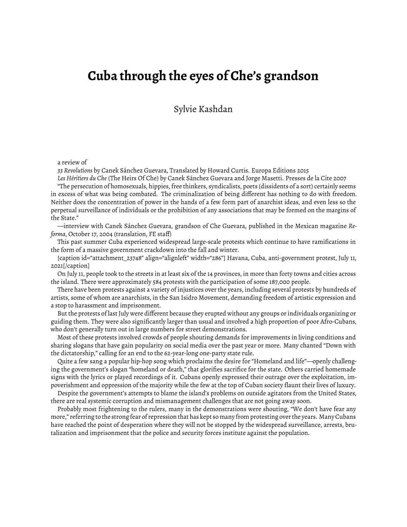## **Cuba through the eyes of Che's grandson**

Sylvie Kashdan

## a review of

*33 Revolutions* by Canek Sánchez Guevara, Translated by Howard Curtis. Europa Editions 2015

*Les Héritiers du Che* (The Heirs Of Che) by Canek Sánchez Guevara and Jorge Masetti. Presses de la Cite 2007 "The persecution of homosexuals, hippies, free thinkers, syndicalists, poets (dissidents of a sort) certainly seems in excess of what was being combated. The criminalization of being different has nothing to do with freedom. Neither does the concentration of power in the hands of a few form part of anarchist ideas, and even less so the perpetual surveillance of individuals or the prohibition of any associations that may be formed on the margins of the State."

—interview with Canek Sánchez Guevara, grandson of Che Guevara, published in the Mexican magazine *Reforma*, October 17, 2004 (translation, FE staff)

This past summer Cuba experienced widespread large-scale protests which continue to have ramifications in the form of a massive government crackdown into the fall and winter.

[caption id="attachment\_23748" align="alignleft" width="286"] Havana, Cuba, anti-government protest, July 11, 2021[/caption]

On July 11, people took to the streets in at least six of the 14 provinces, in more than forty towns and cities across the island. There were approximately 584 protests with the participation of some 187,000 people.

There have been protests against a variety of injustices over the years, including several protests by hundreds of artists, some of whom are anarchists, in the San Isidro Movement, demanding freedom of artistic expression and a stop to harassment and imprisonment.

But the protests of last July were different because they erupted without any groups or individuals organizing or guiding them. They were also significantly larger than usual and involved a high proportion of poor Afro-Cubans, who don't generally turn out in large numbers for street demonstrations.

Most of these protests involved crowds of people shouting demands for improvements in living conditions and sharing slogans that have gain popularity on social media over the past year or more. Many chanted "Down with the dictatorship," calling for an end to the 62-year-long one-party state rule.

Quite a few sang a popular hip-hop song which proclaims the desire for "Homeland and life"—openly challenging the government's slogan "homeland or death," that glorifies sacrifice for the state. Others carried homemade signs with the lyrics or played recordings of it. Cubans openly expressed their outrage over the exploitation, impoverishment and oppression of the majority while the few at the top of Cuban society flaunt their lives of luxury.

Despite the government's attempts to blame the island's problems on outside agitators from the United States, there are real systemic corruption and mismanagement challenges that are not going away soon.

Probably most frightening to the rulers, many in the demonstrations were shouting, "We don't have fear any more,"referringtothestrongfearofrepressionthathaskeptsomanyfromprotestingovertheyears. ManyCubans have reached the point of desperation where they will not be stopped by the widespread surveillance, arrests, brutalization and imprisonment that the police and security forces institute against the population.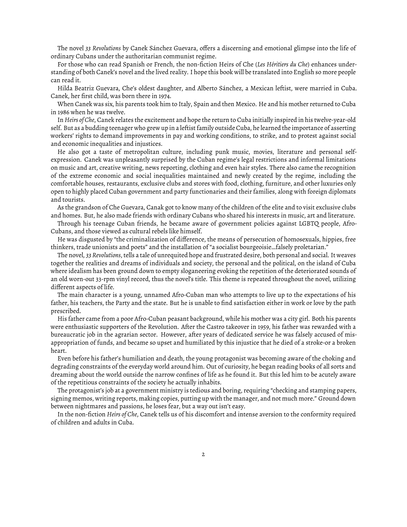The novel *33 Revolutions* by Canek Sánchez Guevara, offers a discerning and emotional glimpse into the life of ordinary Cubans under the authoritarian communist regime.

For those who can read Spanish or French, the non-fiction Heirs of Che (*Les Héritiers du Che*) enhances understanding of both Canek's novel and the lived reality. I hope this book will be translated into English so more people can read it.

Hilda Beatriz Guevara, Che's oldest daughter, and Alberto Sánchez, a Mexican leftist, were married in Cuba. Canek, her first child, was born there in 1974.

When Canek was six, his parents took him to Italy, Spain and then Mexico. He and his mother returned to Cuba in 1986 when he was twelve.

In *Heirs of Che*, Canek relates the excitement and hope the return to Cuba initially inspired in his twelve-year-old self. But as a budding teenager who grew up in a leftist family outside Cuba, he learned the importance of asserting workers' rights to demand improvements in pay and working conditions, to strike, and to protest against social and economic inequalities and injustices.

He also got a taste of metropolitan culture, including punk music, movies, literature and personal selfexpression. Canek was unpleasantly surprised by the Cuban regime's legal restrictions and informal limitations on music and art, creative writing, news reporting, clothing and even hair styles. There also came the recognition of the extreme economic and social inequalities maintained and newly created by the regime, including the comfortable houses, restaurants, exclusive clubs and stores with food, clothing, furniture, and other luxuries only open to highly placed Cuban government and party functionaries and their families, along with foreign diplomats and tourists.

As the grandson of Che Guevara, Canak got to know many of the children of the elite and to visit exclusive clubs and homes. But, he also made friends with ordinary Cubans who shared his interests in music, art and literature.

Through his teenage Cuban friends, he became aware of government policies against LGBTQ people, Afro-Cubans, and those viewed as cultural rebels like himself.

He was disgusted by "the criminalization of difference, the means of persecution of homosexuals, hippies, free thinkers, trade unionists and poets" and the installation of "a socialist bourgeoisie…falsely proletarian."

The novel, *33 Revolutions*, tells a tale of unrequited hope and frustrated desire, both personal and social. It weaves together the realities and dreams of individuals and society, the personal and the political, on the island of Cuba where idealism has been ground down to empty sloganeering evoking the repetition of the deteriorated sounds of an old worn-out 33-rpm vinyl record, thus the novel's title. This theme is repeated throughout the novel, utilizing different aspects of life.

The main character is a young, unnamed Afro-Cuban man who attempts to live up to the expectations of his father, his teachers, the Party and the state. But he is unable to find satisfaction either in work or love by the path prescribed.

His father came from a poor Afro-Cuban peasant background, while his mother was a city girl. Both his parents were enthusiastic supporters of the Revolution. After the Castro takeover in 1959, his father was rewarded with a bureaucratic job in the agrarian sector. However, after years of dedicated service he was falsely accused of misappropriation of funds, and became so upset and humiliated by this injustice that he died of a stroke-or a broken heart.

Even before his father's humiliation and death, the young protagonist was becoming aware of the choking and degrading constraints of the everyday world around him. Out of curiosity, he began reading books of all sorts and dreaming about the world outside the narrow confines of life as he found it. But this led him to be acutely aware of the repetitious constraints of the society he actually inhabits.

The protagonist's job at a government ministry is tedious and boring, requiring "checking and stamping papers, signing memos, writing reports, making copies, putting up with the manager, and not much more." Ground down between nightmares and passions, he loses fear, but a way out isn't easy.

In the non-fiction *Heirs of Che*, Canek tells us of his discomfort and intense aversion to the conformity required of children and adults in Cuba.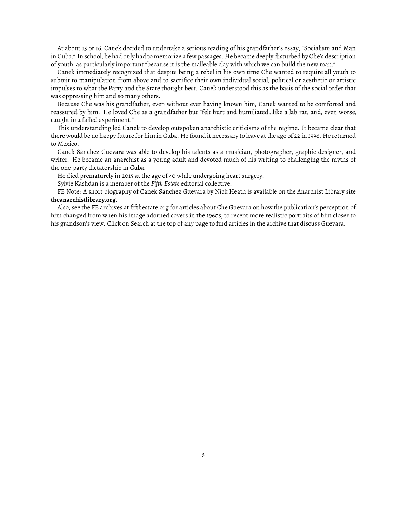At about 15 or 16, Canek decided to undertake a serious reading of his grandfather's essay, "Socialism and Man in Cuba." In school, he had only had to memorize a few passages. He became deeply disturbed by Che's description of youth, as particularly important "because it is the malleable clay with which we can build the new man."

Canek immediately recognized that despite being a rebel in his own time Che wanted to require all youth to submit to manipulation from above and to sacrifice their own individual social, political or aesthetic or artistic impulses to what the Party and the State thought best. Canek understood this as the basis of the social order that was oppressing him and so many others.

Because Che was his grandfather, even without ever having known him, Canek wanted to be comforted and reassured by him. He loved Che as a grandfather but "felt hurt and humiliated…like a lab rat, and, even worse, caught in a failed experiment."

This understanding led Canek to develop outspoken anarchistic criticisms of the regime. It became clear that there would be no happy future for him in Cuba. He found it necessary to leave at the age of 22 in 1996. He returned to Mexico.

Canek Sánchez Guevara was able to develop his talents as a musician, photographer, graphic designer, and writer. He became an anarchist as a young adult and devoted much of his writing to challenging the myths of the one-party dictatorship in Cuba.

He died prematurely in 2015 at the age of 40 while undergoing heart surgery.

Sylvie Kashdan is a member of the *Fifth Estate* editorial collective.

FE Note: A short biography of Canek Sánchez Guevara by Nick Heath is available on the Anarchist Library site **theanarchistlibrary.org**.

Also, see the FE archives at fifthestate.org for articles about Che Guevara on how the publication's perception of him changed from when his image adorned covers in the 1960s, to recent more realistic portraits of him closer to his grandson's view. Click on Search at the top of any page to find articles in the archive that discuss Guevara.